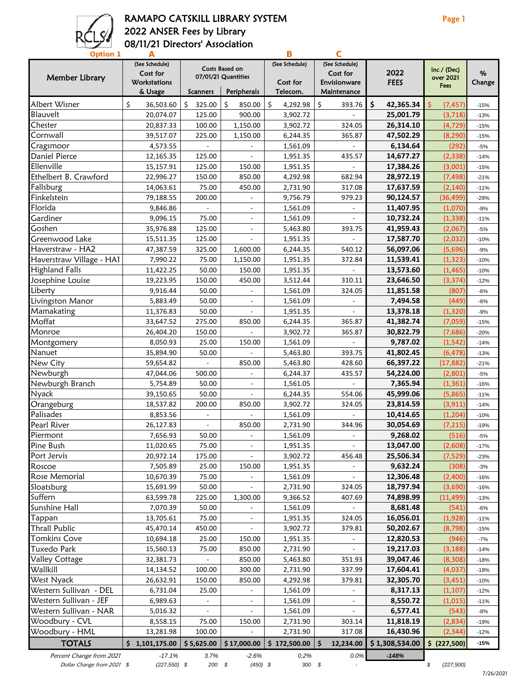

### RAMAPO CATSKILL LIBRARY SYSTEM **Page 1** 2022 ANSER Fees by Library 08/11/21 Directors' Association

| <b>Option 1</b>          |                            |                              |                                       |                |                            |                 |                          |        |
|--------------------------|----------------------------|------------------------------|---------------------------------------|----------------|----------------------------|-----------------|--------------------------|--------|
| Member Library           | (See Schedule)<br>Cost for |                              | Costs Based on<br>07/01/21 Quantities | (See Schedule) | (See Schedule)<br>Cost for | 2022            | Inc / (Dec)<br>over 2021 | %      |
|                          | Workstations               | Scanners<br>Peripherals      |                                       | Cost for       | Envisionware               | <b>FEES</b>     | Fees                     | Change |
|                          | & Usage                    |                              |                                       | Telecom.       | Maintenance                |                 |                          |        |
| Albert Wisner            | \$<br>36,503.60            | \$<br>325.00                 | \$<br>850.00                          | Ś<br>4,292.98  | \$<br>393.76               | \$<br>42,365.34 | Ś<br>(7, 457)            | $-15%$ |
| Blauvelt                 | 20,074.07                  | 125.00                       | 900.00                                | 3,902.72       |                            | 25,001.79       | (3, 718)                 | $-13%$ |
| Chester                  | 20,837.33                  | 100.00                       | 1,150.00                              | 3,902.72       | 324.05                     | 26,314.10       | (4, 729)                 | $-15%$ |
| Cornwall                 | 39,517.07                  | 225.00                       | 1,150.00                              | 6,244.35       | 365.87                     | 47,502.29       | (8, 290)                 | $-15%$ |
| Cragsmoor                | 4,573.55                   |                              |                                       | 1,561.09       |                            | 6,134.64        | (292)                    | $-5%$  |
| Daniel Pierce            | 12,165.35                  | 125.00                       |                                       | 1,951.35       | 435.57                     | 14,677.27       | (2, 338)                 | $-14%$ |
| Ellenville               | 15,157.91                  | 125.00                       | 150.00                                | 1,951.35       |                            | 17,384.26       | (3,001)                  | $-15%$ |
| Ethelbert B. Crawford    | 22,996.27                  | 150.00                       | 850.00                                | 4,292.98       | 682.94                     | 28,972.19       | (7, 498)                 | $-21%$ |
| Fallsburg                | 14,063.61                  | 75.00                        | 450.00                                | 2,731.90       | 317.08                     | 17,637.59       | (2, 140)                 | $-11%$ |
| Finkelstein              | 79,188.55                  | 200.00                       |                                       | 9,756.79       | 979.23                     | 90,124.57       | (36, 499)                | $-29%$ |
| Florida                  | 9,846.86                   |                              |                                       | 1,561.09       |                            | 11,407.95       | (1,070)                  | $-9%$  |
| Gardiner                 | 9,096.15                   | 75.00                        |                                       | 1,561.09       |                            | 10,732.24       | (1, 338)                 | $-11%$ |
| Goshen                   | 35,976.88                  | 125.00                       |                                       | 5,463.80       | 393.75                     | 41,959.43       | (2,067)                  | $-5%$  |
| Greenwood Lake           | 15,511.35                  | 125.00                       |                                       | 1,951.35       |                            | 17,587.70       | (2,032)                  | $-10%$ |
| Haverstraw - HA2         | 47,387.59                  | 325.00                       | 1,600.00                              | 6,244.35       | 540.12                     | 56,097.06       | (5,696)                  | $-9%$  |
| Haverstraw Village - HA1 | 7,990.22                   | 75.00                        | 1,150.00                              | 1,951.35       | 372.84                     | 11,539.41       | (1, 323)                 | $-10%$ |
| <b>Highland Falls</b>    | 11,422.25                  | 50.00                        | 150.00                                | 1,951.35       |                            | 13,573.60       | (1, 465)                 | $-10%$ |
| Josephine Louise         | 19,223.95                  | 150.00                       | 450.00                                | 3,512.44       | 310.11                     | 23,646.50       | (3, 374)                 | $-12%$ |
| Liberty                  | 9,916.44                   | 50.00                        |                                       | 1,561.09       | 324.05                     | 11,851.58       | (807)                    | $-6%$  |
| Livingston Manor         | 5,883.49                   | 50.00                        | $\blacksquare$                        | 1,561.09       |                            | 7,494.58        | (449)                    | $-6%$  |
| Mamakating               | 11,376.83                  | 50.00                        |                                       | 1,951.35       | $\sim$                     | 13,378.18       | (1, 320)                 | $-9%$  |
| Moffat                   | 33,647.52                  | 275.00                       | 850.00                                | 6,244.35       | 365.87                     | 41,382.74       | (7,059)                  | $-15%$ |
| Monroe                   | 26,404.20                  | 150.00                       |                                       | 3,902.72       | 365.87                     | 30,822.79       | (7,686)                  | $-20%$ |
| Montgomery               | 8,050.93                   | 25.00                        | 150.00                                | 1,561.09       |                            | 9,787.02        | (1, 542)                 | $-14%$ |
| Nanuet                   | 35,894.90                  | 50.00                        |                                       | 5,463.80       | 393.75                     | 41,802.45       | (6, 478)                 | $-13%$ |
| New City                 | 59,654.82                  |                              | 850.00                                | 5,463.80       | 428.60                     | 66,397.22       | (17, 882)                | $-21%$ |
| Newburgh                 | 47,044.06                  | 500.00                       |                                       | 6,244.37       | 435.57                     | 54,224.00       | (2,801)                  | $-5%$  |
| Newburgh Branch          | 5,754.89                   | 50.00                        | $\overline{\phantom{a}}$              | 1,561.05       |                            | 7,365.94        | (1, 361)                 | $-16%$ |
| Nyack                    | 39,150.65                  | 50.00                        |                                       | 6,244.35       | 554.06                     | 45,999.06       |                          |        |
|                          |                            |                              |                                       |                |                            | 23,814.59       | (5,865)                  | $-11%$ |
| Orangeburg<br>Palisades  | 18,537.82                  | 200.00                       | 850.00                                | 3,902.72       | 324.05                     |                 | (3, 911)                 | $-14%$ |
| Pearl River              | 8,853.56                   |                              |                                       | 1,561.09       |                            | 10,414.65       | (1, 204)                 | $-10%$ |
|                          | 26,127.83                  | $\overline{a}$               | 850.00                                | 2,731.90       | 344.96                     | 30,054.69       | (7, 215)                 | $-19%$ |
| Piermont                 | 7,656.93                   | 50.00                        |                                       | 1,561.09       | $\overline{a}$             | 9,268.02        | (516)                    | $-5%$  |
| Pine Bush                | 11,020.65                  | 75.00                        | $\blacksquare$                        | 1,951.35       | $\overline{\phantom{a}}$   | 13,047.00       | (2,608)                  | $-17%$ |
| Port Jervis              | 20,972.14                  | 175.00                       |                                       | 3,902.72       | 456.48                     | 25,506.34       | (7, 529)                 | $-23%$ |
| Roscoe                   | 7,505.89                   | 25.00                        | 150.00                                | 1,951.35       |                            | 9,632.24        | (308)                    | $-3%$  |
| Rose Memorial            | 10,670.39                  | 75.00                        |                                       | 1,561.09       |                            | 12,306.48       | (2,400)                  | $-16%$ |
| Sloatsburg               | 15,691.99                  | 50.00                        |                                       | 2,731.90       | 324.05                     | 18,797.94       | (3,690)                  | $-16%$ |
| Suffern                  | 63,599.78                  | 225.00                       | 1,300.00                              | 9,366.52       | 407.69                     | 74,898.99       | (11, 499)                | $-13%$ |
| Sunshine Hall            | 7,070.39                   | 50.00                        |                                       | 1,561.09       |                            | 8,681.48        | (541)                    | $-6%$  |
| Tappan                   | 13,705.61                  | 75.00                        |                                       | 1,951.35       | 324.05                     | 16,056.01       | (1, 928)                 | $-11%$ |
| Thrall Public            | 45,470.14                  | 450.00                       |                                       | 3,902.72       | 379.81                     | 50,202.67       | (8, 798)                 | $-15%$ |
| Tomkins Cove             | 10,694.18                  | 25.00                        | 150.00                                | 1,951.35       |                            | 12,820.53       | (946)                    | $-7%$  |
| Tuxedo Park              | 15,560.13                  | 75.00                        | 850.00                                | 2,731.90       | $\overline{\phantom{a}}$   | 19,217.03       | (3, 188)                 | $-14%$ |
| Valley Cottage           | 32,381.73                  |                              | 850.00                                | 5,463.80       | 351.93                     | 39,047.46       | (8, 308)                 | $-18%$ |
| Wallkill                 | 14,134.52                  | 100.00                       | 300.00                                | 2,731.90       | 337.99                     | 17,604.41       | (4,037)                  | $-19%$ |
| West Nyack               | 26,632.91                  | 150.00                       | 850.00                                | 4,292.98       | 379.81                     | 32,305.70       | (3, 451)                 | $-10%$ |
| Western Sullivan - DEL   | 6,731.04                   | 25.00                        |                                       | 1,561.09       |                            | 8,317.13        | (1, 107)                 | $-12%$ |
| Western Sullivan - JEF   | 6,989.63                   | $\qquad \qquad \blacksquare$ |                                       | 1,561.09       |                            | 8,550.72        | (1,015)                  | $-11%$ |
| Western Sullivan - NAR   | 5,016.32                   | $\frac{1}{2}$                |                                       | 1,561.09       |                            | 6,577.41        | (543)                    | -8%    |
| Woodbury - CVL           | 8,558.15                   | 75.00                        | 150.00                                | 2,731.90       | 303.14                     | 11,818.19       | (2,834)                  | $-19%$ |
| Woodbury - HML           | 13,281.98                  | 100.00                       |                                       | 2,731.90       | 317.08                     | 16,430.96       | (2, 344)                 | $-12%$ |
| <b>TOTALS</b>            | \$1,101,175.00             | \$5,625.00                   | \$17,000.00                           | \$172,500.00   | . Ś<br>12,234.00           | \$1,308,534.00  | \$ (227,500)             | $-15%$ |
|                          |                            |                              |                                       |                |                            |                 |                          |        |
| Percent Change from 2021 | $-17.1%$                   | 3.7%                         | $-2.6%$                               | 0.2%           | 0.0%                       | $-148%$         |                          |        |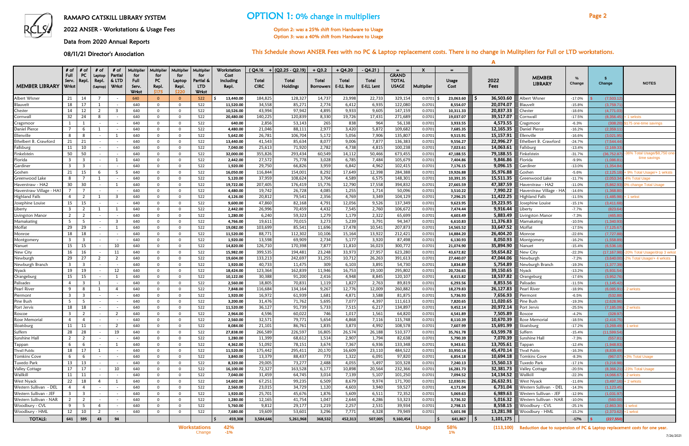2022 ANSER - Workstations & Usage Fees

Data from 2020 Annual Reports

08/11/21 Director's Association

# RAMAPO CATSKILL LIBRARY SYSTEM **OPTION 1: 0% change in multipliers** Page 2

A

|                                  | $#$ of                        | # of                             | # of                             | # of                     | Multiplier  | Multiplier                 | <b>Multiplier</b>    | Multiplier       | Workstation           |                  | ( Q4.16 +   (Q2.25 - Q2.19) | $+$ Q3.2         | $+$ Q4.20      | - Q4.21)       | $=$                          | $\boldsymbol{\mathsf{x}}$ | $=$                  |                        |                                  |                      |                                     |                            |
|----------------------------------|-------------------------------|----------------------------------|----------------------------------|--------------------------|-------------|----------------------------|----------------------|------------------|-----------------------|------------------|-----------------------------|------------------|----------------|----------------|------------------------------|---------------------------|----------------------|------------------------|----------------------------------|----------------------|-------------------------------------|----------------------------|
|                                  | Full<br>Serv.                 | PC<br>Repl.                      | Laptop<br>Repl.                  | Partial<br>& LTD         | for<br>Full | for<br>PC                  | for<br>Laptop        | for<br>Partial & | Cost<br>including     | Total            | Total                       | Total            | Total          | Total          | <b>GRAND</b><br><b>TOTAL</b> |                           | <b>Usage</b>         | 2022                   | <b>MEMBER</b>                    | %                    |                                     |                            |
| <b>MEMBER LIBRARY</b>            | Wrkst                         |                                  | (Laptop)                         | <b>Wrkst</b>             | Serv.       | Repl.                      | Repl.                | <b>LTD</b>       | Repl.                 | <b>CIRC</b>      | Holdings                    | <b>Borrowers</b> | E-ILL Borr     | E-ILL Lent     | <b>USAGE</b>                 | Multiplier                | Cost                 | Fees                   | <b>LIBRARY</b>                   | Change               | Change                              | <b>NOTES</b>               |
|                                  |                               |                                  |                                  |                          | Wrkst       | \$175                      | \$220                | <b>Wrkst</b>     |                       |                  |                             |                  |                |                |                              |                           |                      |                        |                                  |                      |                                     |                            |
| Albert Wisner                    | 21                            | 14                               |                                  |                          | 640         | $\Omega$                   | $\Omega$             | 522              | 13,440.00             | 184,825          | 128,327                     | 14,737           | 23,998         | 22,733         | 329,154                      | 0.0701                    | 23,063.60            | 36,503.60<br>.S        | Albert Wisner                    | $-17.0%$             | (7,503.12)                          |                            |
| Blauvelt                         | 18                            | 17                               |                                  |                          | 640         | $\mathbf{0}$               | $\Omega$             | 522              | 11,520.00             | 34,558           | 85,271                      | 2,774            | 6,412          | 6,935          | 122,080                      | 0.0701                    | 8,554.07             | 20,074.07              | Blauvelt                         | $-15.8%$             | (3,759.7)                           |                            |
| Chester                          | 14                            | 12                               | $\overline{2}$                   | $\overline{3}$           | 640         | $\Omega$                   | $\Omega$             | 522              | 10,526.00             | 43,994           | 97,942                      | 4,895            | 9,933          | 9,605          | 147,159                      | 0.0701                    | 10,311.33            | 20,837.33              | Chester                          | $-18.6%$             | (4,771.0)                           |                            |
| Cornwall                         | 32                            | 24                               | -8                               | $\overline{\phantom{a}}$ | 640         | $\Omega$                   | $\Omega$             | 522              | 20,480.00             | 140,225          | 120,839                     | 8,330            | 19,726         | 17,431         | 271,689                      | 0.0701                    | 19,037.07            | 39,517.07              | Cornwall                         | $-17.5%$             | (8,356.4)                           | 1 wrksts                   |
| Cragsmoor                        | 1                             |                                  | $\overline{\phantom{a}}$         | $\overline{\phantom{a}}$ | 640         | $\Omega$                   | $\Omega$             | 522              | 640.00                | 2,856            | 53,143                      | 265              | 838            | 964            | 56,138                       | 0.0701                    | 3,933.55             | 4,573.55               | Cragsmoor                        | $-6.3%$              | (308.2)                             | 175 one-time savings       |
| Daniel Pierce<br>Ellenville      | $\overline{7}$<br>8           | -6<br>8                          |                                  |                          | 640<br>640  | $\Omega$<br>$\Omega$       | $\Omega$<br>$\Omega$ | 522<br>522       | 4,480.00<br>5,642.00  | 21,046<br>26,781 | 88,111<br>106,704           | 2,977<br>5,172   | 3,420<br>5,056 | 5,872<br>7,906 | 109,682<br>135,807           | 0.0701<br>0.0701          | 7,685.35             | 12,165.35<br>15,157.91 | Daniel Pierce<br>Ellenville      | $-16.2%$<br>$-16.6%$ | (2,359.1)<br>(3,021.9)              |                            |
| Ethelbert B. Crawford            | 21                            | 21                               |                                  | $\overline{\phantom{a}}$ | 640         | $\mathbf{0}$               | $\Omega$             | 522              | 13,440.00             | 41,543           | 85,634                      | 8,077            | 9,006          | 7,877          | 136,383                      | 0.0701                    | 9,515.91<br>9,556.27 | 22,996.27              | Ethelbert B. Crawford            | $-24.7%$             | (7,544.44)                          |                            |
| Fallsburg                        | 11                            | 10                               |                                  |                          | 640         | $\Omega$                   | $\Omega$             | 522              | 7,040.00              | 25,613           | 71,920                      | 2,782            | 4,738          | 4,815          | 100,238                      | 0.0701                    | 7,023.61             | 14,063.61              | Fallsburg                        | $-13.4%$             | (2, 169.3)                          |                            |
| Finkelstein                      | 50                            | 50                               |                                  | $\overline{\phantom{a}}$ | 640         | $\Omega$                   | $\Omega$             | 522              | 32,000.00             | 355,826          | 293,434                     | 60,549           | 14,112         | 50,466         | 673,455                      | 0.0701                    | 47,188.55            | 79,188.55              | Finkelstein                      | $-31.7%$             | (36, 752.8)                         | 6% Total Usage/\$8,750 one |
| Florida                          | 3                             | - 3                              | $\overline{\phantom{a}}$         | 1                        | 640         | $\Omega$                   | $\Omega$             | 522              | 2,442.00              | 27,572           | 75,778                      | 3,028            | 6,785          | 7,484          | 105,679                      | 0.0701                    | 7,404.86             | 9,846.86               | Florida                          | $-9.9%$              | (1,086.8)                           | time savings               |
| Gardiner                         | $\overline{\mathbf{3}}$       | $\overline{\mathbf{3}}$          |                                  |                          | 640         | $\mathbf{0}$               | $\Omega$             | 522              | 1,920.00              | 29,750           | 66,826                      | 3,959            | 6,842          | 4,962          | 102,415                      | 0.0701                    | 7,176.15             | 9,096.15               | ardinerد                         | $-13.0%$             | (1,354.8)                           |                            |
| Goshen                           | 21                            | 15                               | 6                                | 5                        | 640         | $\mathbf{0}$               | $\Omega$             | 522              | 16,050.00             | 116,844          | 154,001                     | 8,292            | 17,649         | 12,398         | 284,388                      | 0.0701                    | 19,926.88            | 35,976.88              | Goshen                           | $-5.6%$              | (2, 125.1)                          | 9% Total Usage/+ 1 wrksts  |
| Greenwood Lake                   | 8                             | - 7                              |                                  |                          | 640         | $\Omega$                   | $\Omega$             | 522              | 5,120.00              | 37,959           | 108,624                     | 3,704            | 4,589          | 6,575          | 148,301                      | 0.0701                    | 10,391.35            | 15,511.35              | Greenwood Lake                   | $-11.7%$             | (2,053.34)                          | % Total Uage               |
| Haverstraw - HA2                 | 30                            | 30                               |                                  | 1                        | 640         | $\mathbf{0}$               | $\Omega$             | 522              | 19,722.00             | 207,405          | 176,419                     | 15,776           | 12,790         | 17,558         | 394,832                      | 0.0701                    | 27,665.59            | 47,387.59              | Haverstraw - HA2                 | $-11.0%$             | (5,862.9)                           | 6 change Total Usage       |
| Haverstraw Village - HA          |                               | - 7                              |                                  | $\overline{\phantom{a}}$ | 640         | $\Omega$                   | 0                    | 522              | 4,480.00              | 19,742           | 26,728                      | 4,085            | 1,255          | 1,714          | 50,096                       | 0.0701                    | 3,510.22             | 7,990.22               | Haverstraw Village - HA1         | $-14.6%$             | (1,368.8)                           |                            |
| <b>Highland Fall:</b>            | $\overline{a}$                | $\overline{2}$                   |                                  | -3                       | 640         | $\Omega$                   | 0                    | 522              | 4,126.00              | 20,812           | 79,541                      | 2,356            | 4,769          | 3,349          | 104,129                      | 0.0701                    | 7,296.25             | 11,422.25              | Highland Falls                   | $-11.5%$             | (1,485.9)                           | 1 wrkst                    |
| Josephine Louise                 | 15                            | 15                               | $\overline{1}$                   |                          | 640         | $\Omega$                   | $\Omega$             | 522              | 9,600.00              | 47,860           | 82,168                      | 4,791            | 12,056         | 9,526<br>2,760 | 137,349                      | 0.0701                    | 9,623.95             | 19,223.95<br>9,916.44  | osephine Louise                  | $-15.1%$             | (3,411.6)                           |                            |
| Liberty                          | 3<br>$\overline{2}$           | $\overline{2}$<br>$\overline{2}$ |                                  | 1                        | 640<br>640  | $\mathbf{0}$<br>$\Omega$   | $\Omega$<br>$\Omega$ | 522<br>522       | 2,442.00<br>1,280.00  | 26,996<br>6,240  | 70,459<br>59,323            | 4,432<br>1,279   | 7,545<br>1,179 | 2,322          | 106,672<br>65,699            | 0.0701<br>0.0701          | 7,474.44<br>4,603.49 | 5,883.49               | Liberty<br>Livingston Manor      | $-7.7\%$<br>$-7.3%$  | (823.64)<br>(465.8)                 |                            |
| Livingston Manor<br>Mamakating   | 5                             | - 5                              |                                  | -3                       | 640         | $\Omega$                   | $\Omega$             | 522              | 4,766.00              | 19,611           | 70,015                      | 3,273            | 5,239          | 3,791          | 94,347                       | 0.0701                    | 6,610.83             | 11,376.83              | Mamakating                       | $-10.5%$             | (1,340.9)                           |                            |
| Moffat                           | 29                            | 29                               |                                  | -1                       | 640         | $\Omega$                   | $\Omega$             | 522              | 19,082.00             | 103,699          | 85,541                      | 11,696           | 17,478         | 10,541         | 207,873                      | 0.0701                    | 14,565.52            | 33,647.52              | Moffat                           | $-17.5%$             | (7, 125.6)                          |                            |
| Monroe                           | 18                            | 18                               |                                  |                          | 640         | $^{\circ}$                 | $\Omega$             | 522              | 11,520.00             | 88,771           | 112,302                     | 10,106           | 15,164         | 13,922         | 212,421                      | 0.0701                    | 14,884.20            | 26,404.20              | <i>A</i> onroe                   | $-22.6%$             | (7, 727.                            |                            |
| Montgomery                       | 3                             | -3                               |                                  |                          | 640         | $\Omega$                   | $\Omega$             | 522              | 1,920.00              | 13,598           | 69,909                      | 2,734            | 5,177          | 3,920          | 87,498                       | 0.0701                    | 6,130.93             | 8,050.93               | Aontgomery                       | $-16.2%$             | (1,558.8)                           |                            |
| Nanuet                           | 15                            | 15                               |                                  | 10                       | 640         | $\Omega$                   | $\Omega$             | 522              | 14,820.00             | 126,710          | 170,398                     | 7,877            | 11,810         | 16,023         | 300,772                      | 0.0701                    | 21,074.90            | 35,894.90              | Nanuet                           | $-15.4%$             | (6,536.1)                           |                            |
| New City                         | 16                            | 16                               |                                  | 11                       | 640         | $\mathbf{0}$               | $\Omega$             | 522              | 15,982.00             | 399,535          | 194,481                     | 23,248           | 33,973         | 27,957         | 623,280                      | 0.0701                    | 43,672.82            | 59,654.82              | New City                         | $-22.3%$             | (17, 167.                           | 0% Total Usage/drop 3 wrks |
| Newburgh                         | 29                            | 27                               | $\overline{2}$                   | $\overline{2}$           | 640         | $\mathbf{0}$               | $\Omega$             | 522              | 19,604.00             | 133,213          | 242,697                     | 31,255           | 10,712         | 26,263         | 391,613                      | 0.0701                    | 27,440.07            | 47,044.06              | Newburgh                         | $-7.2%$              | (3,640.0)                           | % Total Usage/+ 4 wrksts   |
| Newburgh Branch                  | 3                             | $\overline{\mathbf{3}}$          |                                  |                          | 640         | $\Omega$                   | $\Omega$             | 522              | 1,920.00              | 40,733           | 11,475                      | 309              | 6,103          | 3,891          | 54,730                       | 0.0701                    | 3,834.89             | 5,754.89               | Newburgh Branch                  | $-19.3%$             | (1, 377.3)                          |                            |
| Nyack                            | 19                            | 19                               |                                  | 12                       | 640         | $\Omega$                   | $\Omega$             | 522              | 18,424.00             | 123,364          | 162,839                     | 11,946           | 16,753         | 19,100         | 295,802                      | 0.0701                    | 20,726.65            | 39,150.65              | Vyack                            | $-13.2%$             | (5,931.54)                          |                            |
| Orangeburg                       | 15                            | 15                               |                                  | -1                       | 640         | $^{\circ}$                 | $\Omega$             | 522              | 10,122.00             | 30,388           | 91,200                      | 2,416            | 4,948          | 8,845          | 120,107                      | 0.0701                    | 8,415.82             | 18,537.82              | Orangeburg                       | $-17.6%$             | (3,952.7)                           |                            |
| Palisades                        | 4                             | - 3                              | 1                                |                          | 640         | $\Omega$                   | 0                    | 522              | 2,560.00              | 18,805           | 70,831                      | 1,119            | 1,827          | 2,763          | 89,819                       | 0.0701                    | 6,293.56             | 8,853.56               | Palisades                        | $-11.5%$             | (1, 145.4)                          |                            |
| Pearl River                      | -9                            | 8                                | -1                               | $\overline{4}$           | 640         | $\Omega$                   | $\Omega$             | 522              | 7,848.00              | 116,684          | 134,164                     | 9,267            | 12,776         | 12,009         | 260,882                      | 0.0701                    | 18,279.83            | 26,127.83              | Pearl River                      | $-18.9%$             | (6,085.9)                           | 2 wrksts                   |
| Piermont                         | 3                             | $\overline{\mathbf{3}}$          | $\overline{\phantom{0}}$         | $\overline{\phantom{a}}$ | 640         | $\mathbf{0}$               | $\Omega$             | 522              | 1,920.00              | 16,972           | 61,939                      | 1,681            | 4,871          | 3,588          | 81,875                       | 0.0701                    | 5,736.93             | 7,656.93               | Piermont                         | $-6.5%$              | (532.8)                             |                            |
| Pine Bush                        | -5                            | -5                               |                                  |                          | 640         | $\Omega$                   | $\Omega$             | 522              | 3,200.00              | 31,476           | 71,762                      | 5,695            | 7,077          | 4,397          | 111,613                      | 0.0701                    | 7,820.65             | 11,020.65              | ine Bush?                        | $-19.3%$             | (2,628.9)                           |                            |
| Port Jervis<br>Roscoe            | 18<br>$\overline{\mathbf{3}}$ | 18<br>$\overline{2}$             |                                  | 2                        | 640<br>640  | $\Omega$<br>$\Omega$       | $\Omega$<br>$\Omega$ | 522<br>522       | 11,520.00<br>2,964.00 | 36,127<br>4,596  | 91,739<br>60,022            | 5,733<br>746     | 7,515<br>1,017 | 6,217<br>1,561 | 134,897<br>64,820            | 0.0701<br>0.0701          | 9,452.14<br>4,541.89 | 20,972.14<br>7,505.89  | ort Jervis<br>Roscoe             | $-25.5%$<br>$-4.2%$  | (7, 185.0)<br>(328.9)               | 2 wrksts                   |
| Rose Memorial                    | 4                             | $\overline{4}$                   |                                  |                          | 640         | $\mathbf 0$                | $\Omega$             | 522              | 2,560.00              | 32,571           | 79,771                      | 5,654            | 4,868          | 7,116          | 115,748                      | 0.0701                    | 8,110.39             | 10,670.39              | Rose Memorial                    | $-18.5%$             | (2, 416.75)                         |                            |
| Sloatsburg                       | 11                            | 11                               | $\sim$                           | $\overline{2}$           | 640         | $\mathbf{0}$               | 0                    | 522              | 8,084.00              | 21,101           | 86,761                      | 1,835            | 3,873          | 4,992          | 108,578                      | 0.0701                    | 7,607.99             | 15,691.99              | Sloatsburg                       | $-17.2%$             | (3,269.49)                          | 1 wrkst                    |
| Suffern                          | 28                            | 28                               | $\sim$                           | 19                       | 640         | $\mathbf 0$                | 0                    | 522              | 27,838.00             | 266,589          | 226,597                     | 16,805           | 26,574         | 26,188         | 510,377                      | 0.0701                    | 35,761.78            | 63,599.78              | Suffern                          | $-15.4%$             | (11,599.54)                         |                            |
| Sunshine Hall                    | $\overline{2}$                | $\overline{2}$                   |                                  |                          | 640         | $\mathbf 0$                | 0                    | 522              | 1,280.00              | 11,399           | 68,612                      | 1,514            | 2,907          | 1,794          | 82,638                       | 0.0701                    | 5,790.39             | 7,070.39               | Sunshine Hall                    | $-7.3%$              | (557.81                             |                            |
| Tappan                           | 6                             | 6                                |                                  | 1                        | 640         | $\mathbf 0$                | $\Omega$             | 522              | 4,362.00              | 51,092           | 78,151                      | 3,674            | 7,367          | 6,936          | 133,348                      | 0.0701                    | 9,343.61             | 13,705.61              | Tappan                           | $-12.4%$             | (1,948.83)                          |                            |
| Thrall Public                    | 18                            | 17                               | 1                                |                          | 640         | $\mathbf 0$                | 0                    | 522              | 11,520.00             | 175,442          | 295,411                     | 20,170           | 16,609         | 23,110         | 484,522                      | 0.0701                    | 33,950.14            | 45,470.14              | Thrall Public                    | $-16.3%$             | (8,839.49)                          |                            |
| <b>Tomkins Cove</b>              | 6                             | -6                               | $\overline{\phantom{0}}$         | $\overline{a}$           | 640         | $\mathbf 0$                | $^{\circ}$           | 522              | 3,840.00              | 13,379           | 88,437                      | 773              | 1,322          | 6,091          | 97,820                       | 0.0701                    | 6,854.18             | 10,694.18              | Tomkins Cove                     | $-8.3%$              |                                     | (967.07) +3% Total Usage   |
| Tuxedo Park                      | 13                            | 13                               | $\sim$                           | $\sim$                   | 640         | $\mathbf 0$                | $^{\circ}$           | 522              | 8,320.00              | 29,005           | 73,277                      | 2,488            | 4,055          | 5,497          | 103,328                      | 0.0701                    | 7,240.13             | 15,560.13              | Tuxedo Park                      | $-17.1%$             | (3,216.98)                          |                            |
| Valley Cottage                   | 17                            | 17                               |                                  | 10                       | 640         | $\mathbf 0$                | 0                    | 522              | 16,100.00             | 72,327           | 163,528                     | 6,177            | 10,898         | 20,564         | 232,366                      | 0.0701                    | 16,281.73            | 32,381.73              | Valley Cottage                   | $-20.5%$             | (8,366.21)                          | 23% Total Usage            |
| Wallkill                         | 11                            | 11                               |                                  |                          | 640         | $\mathbf{0}$               | 0                    | 522              | 7,040.00              | 31,459           | 64,745                      | 3,014            | 7,139          | 5,107          | 101,250                      | 0.0701                    | 7,094.52             | 14,134.52              | Wallkill                         | $-22.3%$             | (4,066.67)                          | $\vert$ - 2 wrksts         |
| West Nyack                       | 22                            | 18                               | $\overline{4}$                   | 1                        | 640         | $\mathbf 0$                | $\Omega$             | 522              | 14,602.00             | 67,251           | 99,235                      | 6,509            | 8,679          | 9,974          | 171,700                      | 0.0701                    | 12,030.91            | 26,632.91              | West Nyack                       | $-11.6%$             | $(3,497.16) + 2$ wrksts             |                            |
| Western Sullivan - DEL           | 4                             | 4                                |                                  |                          | 640         | $\mathbf 0$                | $^{\circ}$           | 522              | 2,560.00              | 23,015           | 34,729                      | 1,120            | 4,603          | 3,940          | 59,527                       | 0.0701                    | 4,171.04             | 6,731.04               | Western Sullivan - DEL           | $-14.3%$             | (1, 123.45)                         |                            |
| Western Sullivan - JEF           | $\overline{3}$                | $\overline{\mathbf{3}}$          | $\overline{a}$                   | $\overline{\phantom{0}}$ | 640         | $\mathbf 0$                | $^{\circ}$           | 522              | 1,920.00              | 25,701           | 45,676                      | 1,876            | 5,609          | 6,511          | 72,352                       | 0.0701                    | 5,069.63             | 6,989.63               | Western Sullivan - JEF           | $-12.9%$             | (1,031.97)                          |                            |
| Western Sullivan - NAR           | $\overline{2}$                | $\overline{2}$                   | $\overline{a}$<br>$\overline{4}$ | $\sim$                   | 640         | $\mathbf 0$                | 0                    | 522              | 1,280.00              | 12,165           | 41,754                      | 1,047            | 2,644          | 4,286          | 53,323                       | 0.0701                    | 3,736.32             | 5,016.32               | Western Sullivan - NAR           | $-10.0%$             | (560.00                             |                            |
| Woodbury - CVL<br>Woodbury - HML | 9<br>12                       | $5\overline{5}$<br>10            | $\overline{2}$                   |                          | 640<br>640  | $\mathbf 0$<br>$\mathbf 0$ | 0<br>0               | 522<br>522       | 5,760.00<br>7,680.00  | 9,812<br>19,609  | 29,177<br>53,601            | 1,219<br>3,296   | 2,257<br>7,771 | 2,531<br>4,328 | 39,934<br>79,949             | 0.0701<br>0.0701          | 2,798.15<br>5,601.98 | 8,558.15<br>13,281.98  | Woodbury - CVL<br>Woodbury - HML | $-25.1%$<br>$-15.2%$ | (2,863.30)<br>$(2,373.62)$ +1 wrkst | 1 wrkst                    |
| <b>TOTALS:</b>                   | 641 595                       |                                  | 43                               | 94                       |             |                            |                      |                  | 459,308<br>l \$       | 3,584,646        |                             | 368,532          | 452,313        | 507,005        | 9,160,454                    |                           | $641,867$   \$       | 1,101,175              |                                  | $-17%$               | (227, 550)                          |                            |
|                                  |                               |                                  |                                  |                          |             |                            |                      |                  |                       |                  | 5,261,968                   |                  |                |                |                              |                           |                      |                        |                                  |                      |                                     |                            |





**Morkstations** 42% **12%**<br>Change -1% **129% 12% 12% 12% 12% 12% 12% 12% 12% 12% 12% 12% 12% 12%** 

Option 2: was a 25% shift from Hardware to Usage Option 3: was a 40% shift from Hardware to Usage

#### This Schedule shows ANSER Fees with no PC & Laptop replacement costs. There is no change in Mulitpliers for Full or LTD workstations.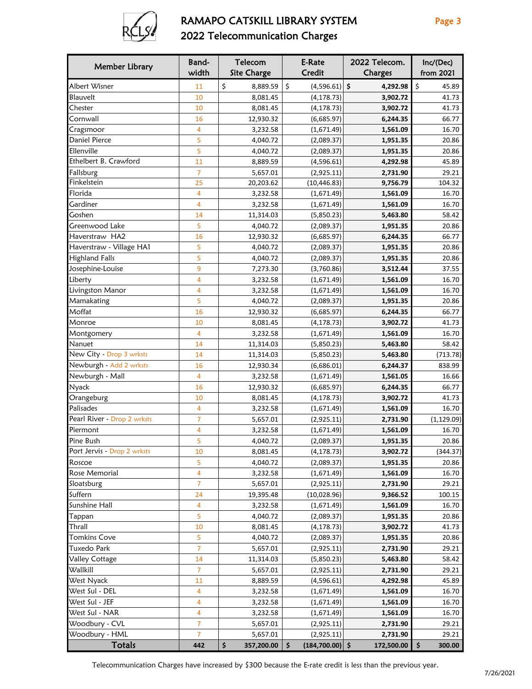

## RAMAPO CATSKILL LIBRARY SYSTEM Page 3 2022 Telecommunication Charges

| Member Library              | Band-<br>width | Telecom<br><b>Site Charge</b> | E-Rate<br>Credit         | 2022 Telecom.<br>Charges | Inc/(Dec)<br>from 2021 |
|-----------------------------|----------------|-------------------------------|--------------------------|--------------------------|------------------------|
|                             |                |                               |                          |                          |                        |
| Albert Wisner               | 11             | \$<br>8,889.59                | \$<br>$(4,596.61)$ \$    | 4,292.98                 | \$<br>45.89            |
| Blauvelt                    | 10             | 8,081.45                      | (4, 178.73)              | 3,902.72                 | 41.73                  |
| Chester                     | 10             | 8,081.45                      | (4, 178.73)              | 3,902.72                 | 41.73                  |
| Cornwall                    | 16             | 12,930.32                     | (6,685.97)               | 6,244.35                 | 66.77                  |
| Cragsmoor                   | 4              | 3,232.58                      | (1,671.49)               | 1,561.09                 | 16.70                  |
| <b>Daniel Pierce</b>        | 5              | 4,040.72                      | (2,089.37)               | 1,951.35                 | 20.86                  |
| Ellenville                  | 5              | 4,040.72                      | (2,089.37)               | 1,951.35                 | 20.86                  |
| Ethelbert B. Crawford       | 11             | 8,889.59                      | (4,596.61)               | 4,292.98                 | 45.89                  |
| Fallsburg                   | $\overline{7}$ | 5,657.01                      | (2,925.11)               | 2,731.90                 | 29.21                  |
| Finkelstein                 | 25             | 20,203.62                     | (10, 446.83)             | 9,756.79                 | 104.32                 |
| Florida                     | 4              | 3,232.58                      | (1,671.49)               | 1,561.09                 | 16.70                  |
| Gardiner                    | $\overline{4}$ | 3,232.58                      | (1,671.49)               | 1,561.09                 | 16.70                  |
| Goshen                      | 14             | 11,314.03                     | (5,850.23)               | 5,463.80                 | 58.42                  |
| Greenwood Lake              | 5              | 4,040.72                      | (2,089.37)               | 1,951.35                 | 20.86                  |
| Haverstraw HA2              | 16             | 12,930.32                     | (6,685.97)               | 6,244.35                 | 66.77                  |
| Haverstraw - Village HA1    | 5              | 4,040.72                      | (2,089.37)               | 1,951.35                 | 20.86                  |
| <b>Highland Falls</b>       | 5              | 4,040.72                      | (2,089.37)               | 1,951.35                 | 20.86                  |
| Josephine-Louise            | 9              | 7,273.30                      | (3,760.86)               | 3,512.44                 | 37.55                  |
| Liberty                     | $\overline{4}$ | 3,232.58                      | (1,671.49)               | 1,561.09                 | 16.70                  |
| Livingston Manor            | $\overline{4}$ | 3,232.58                      | (1,671.49)               | 1,561.09                 | 16.70                  |
| Mamakating                  | 5              | 4,040.72                      | (2,089.37)               | 1,951.35                 | 20.86                  |
| Moffat                      | 16             | 12,930.32                     | (6,685.97)               | 6,244.35                 | 66.77                  |
| Monroe                      | 10             | 8,081.45                      | (4, 178.73)              | 3,902.72                 | 41.73                  |
| Montgomery                  | $\overline{4}$ | 3,232.58                      | (1,671.49)               | 1,561.09                 | 16.70                  |
| Nanuet                      | 14             | 11,314.03                     | (5,850.23)               | 5,463.80                 | 58.42                  |
| New City - Drop 3 wrksts    | 14             | 11,314.03                     | (5,850.23)               | 5,463.80                 | (713.78)               |
| Newburgh - Add 2 wrksts     | 16             | 12,930.34                     | (6,686.01)               | 6,244.37                 | 838.99                 |
| Newburgh - Mall             | $\overline{4}$ | 3,232.58                      | (1,671.49)               | 1,561.05                 | 16.66                  |
| <b>Nyack</b>                | 16             | 12,930.32                     | (6,685.97)               | 6,244.35                 | 66.77                  |
| Orangeburg                  | 10             | 8,081.45                      | (4, 178.73)              | 3,902.72                 | 41.73                  |
| Palisades                   | 4              | 3,232.58                      | (1,671.49)               | 1,561.09                 | 16.70                  |
| Pearl River - Drop 2 wrksts | $\overline{7}$ | 5,657.01                      | (2,925.11)               | 2,731.90                 | (1, 129.09)            |
| Piermont                    | 4              | 3,232.58                      | (1,671.49)               | 1,561.09                 | 16.70                  |
| Pine Bush                   | 5              | 4,040.72                      | (2,089.37)               | 1,951.35                 | 20.86                  |
| Port Jervis - Drop 2 wrksts | 10             | 8,081.45                      | (4, 178.73)              | 3,902.72                 | (344.37)               |
| Roscoe                      | 5              | 4,040.72                      | (2,089.37)               | 1,951.35                 | 20.86                  |
| Rose Memorial               | 4              | 3,232.58                      | (1,671.49)               | 1,561.09                 | 16.70                  |
| Sloatsburg                  | 7              | 5,657.01                      | (2,925.11)               | 2,731.90                 | 29.21                  |
| Suffern                     | 24             | 19,395.48                     | (10,028.96)              | 9,366.52                 | 100.15                 |
| Sunshine Hall               | $\overline{4}$ | 3,232.58                      | (1,671.49)               | 1,561.09                 | 16.70                  |
| Tappan                      | 5              | 4,040.72                      | (2,089.37)               | 1,951.35                 | 20.86                  |
| Thrall                      | 10             | 8,081.45                      | (4, 178.73)              | 3,902.72                 | 41.73                  |
| <b>Tomkins Cove</b>         | 5              | 4,040.72                      | (2,089.37)               | 1,951.35                 | 20.86                  |
| Tuxedo Park                 | $\overline{7}$ | 5,657.01                      | (2,925.11)               | 2,731.90                 | 29.21                  |
| Valley Cottage              | 14             | 11,314.03                     | (5,850.23)               | 5,463.80                 | 58.42                  |
| Wallkill                    | $\overline{7}$ | 5,657.01                      | (2,925.11)               | 2,731.90                 | 29.21                  |
| West Nyack                  | 11             | 8,889.59                      | (4,596.61)               | 4,292.98                 | 45.89                  |
| West Sul - DEL              | 4              |                               |                          |                          |                        |
| West Sul - JEF              |                | 3,232.58                      | (1,671.49)               | 1,561.09                 | 16.70<br>16.70         |
|                             | 4              | 3,232.58                      | (1,671.49)               | 1,561.09                 |                        |
| West Sul - NAR              | $\overline{4}$ | 3,232.58                      | (1,671.49)               | 1,561.09                 | 16.70                  |
| Woodbury - CVL              | 7<br>7         | 5,657.01                      | (2,925.11)               | 2,731.90                 | 29.21                  |
| Woodbury - HML              |                | 5,657.01                      | (2,925.11)               | 2,731.90                 | 29.21                  |
| <b>Totals</b>               | 442            | \$<br>357,200.00              | \$<br>$(184, 700.00)$ \$ | 172,500.00               | \$<br>300.00           |

Telecommunication Charges have increased by \$300 because the E-rate credit is less than the previous year.